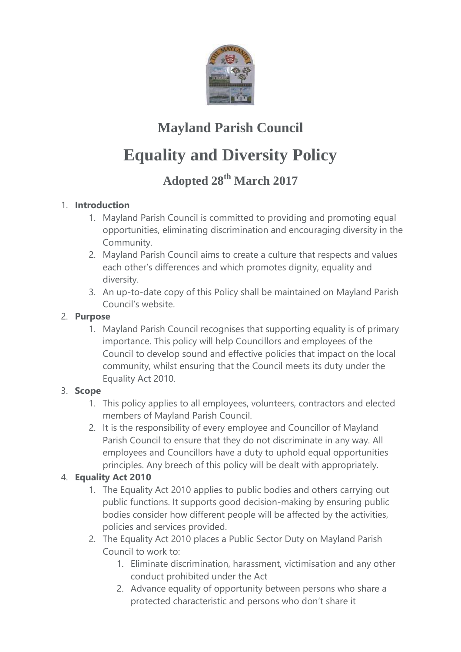

# **Mayland Parish Council**

# **Equality and Diversity Policy**

# **Adopted 28th March 2017**

## 1. **Introduction**

- 1. Mayland Parish Council is committed to providing and promoting equal opportunities, eliminating discrimination and encouraging diversity in the Community.
- 2. Mayland Parish Council aims to create a culture that respects and values each other's differences and which promotes dignity, equality and diversity.
- 3. An up-to-date copy of this Policy shall be maintained on Mayland Parish Council's website.

#### 2. **Purpose**

1. Mayland Parish Council recognises that supporting equality is of primary importance. This policy will help Councillors and employees of the Council to develop sound and effective policies that impact on the local community, whilst ensuring that the Council meets its duty under the Equality Act 2010.

#### 3. **Scope**

- 1. This policy applies to all employees, volunteers, contractors and elected members of Mayland Parish Council.
- 2. It is the responsibility of every employee and Councillor of Mayland Parish Council to ensure that they do not discriminate in any way. All employees and Councillors have a duty to uphold equal opportunities principles. Any breech of this policy will be dealt with appropriately.

## 4. **Equality Act 2010**

- 1. The Equality Act 2010 applies to public bodies and others carrying out public functions. It supports good decision-making by ensuring public bodies consider how different people will be affected by the activities, policies and services provided.
- 2. The Equality Act 2010 places a Public Sector Duty on Mayland Parish Council to work to:
	- 1. Eliminate discrimination, harassment, victimisation and any other conduct prohibited under the Act
	- 2. Advance equality of opportunity between persons who share a protected characteristic and persons who don't share it